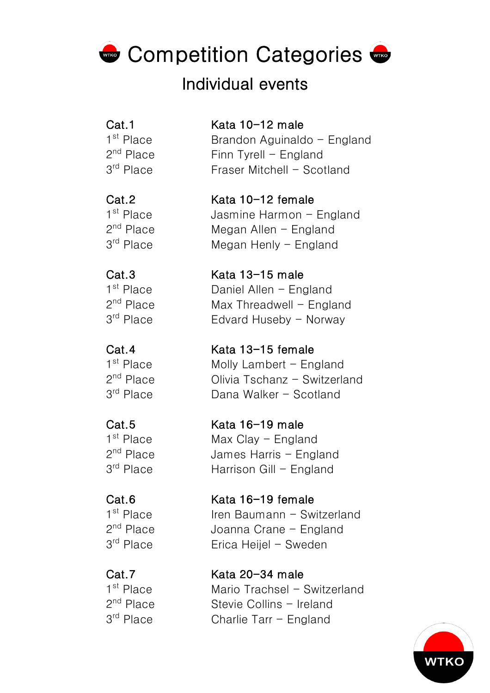# **Competition Categories &**

# Individual events

 $3<sup>rd</sup>$  Place Edvard Huseby - Norway

### Cat.1 Kata 10-12 male

 $1<sup>st</sup>$  Place Brandon Aguinaldo - England  $2<sup>nd</sup>$  Place Finn Tyrell - England  $3<sup>rd</sup>$  Place Fraser Mitchell - Scotland

### Cat.2 Kata 10-12 female

 $1<sup>st</sup>$  Place Jasmine Harmon - England  $2<sup>nd</sup>$  Place Megan Allen - England  $3<sup>rd</sup>$  Place Megan Henly - England

### Cat.3 Kata 13-15 male  $1<sup>st</sup>$  Place Daniel Allen - England  $2<sup>nd</sup>$  Place Max Threadwell - England

Cat.4 Kata 13-15 female 1<sup>st</sup> Place Molly Lambert - England 2<sup>nd</sup> Place **Olivia Tschanz - Switzerland**  $3<sup>rd</sup>$  Place Dana Walker - Scotland

### Cat.5 Kata 16-19 male  $1<sup>st</sup>$  Place Max Clay - England 2<sup>nd</sup> Place James Harris - England  $3<sup>rd</sup>$  Place Harrison Gill - England

### Cat.6 Kata 16-19 female  $1<sup>st</sup>$  Place Iren Baumann - Switzerland 2<sup>nd</sup> Place **Joanna Crane - England**  $3<sup>rd</sup>$  Place Erica Heijel - Sweden

Cat.7 Kata 20-34 male 1<sup>st</sup> Place Mario Trachsel - Switzerland 2<sup>nd</sup> Place Stevie Collins - Ireland  $3<sup>rd</sup>$  Place Charlie Tarr - England

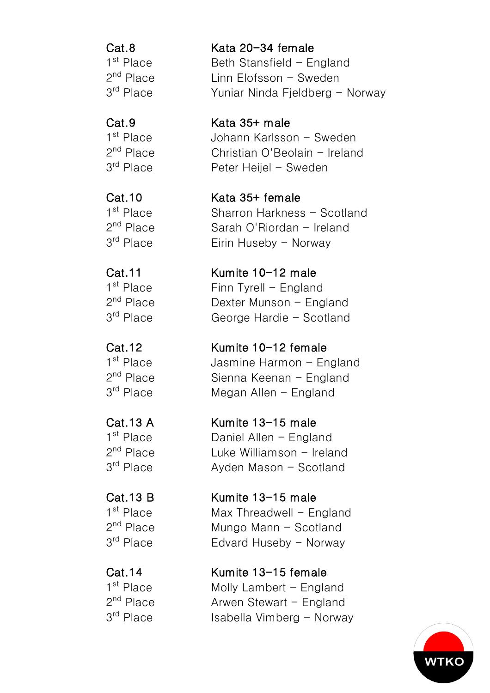Cat.8 Kata 20-34 female  $1<sup>st</sup>$  Place Beth Stansfield - England  $2<sup>nd</sup>$  Place Linn Elofsson - Sweden  $3<sup>rd</sup>$  Place Yuniar Ninda Fieldberg - Norway

Cat.9 Kata 35+ male 1<sup>st</sup> Place Johann Karlsson - Sweden  $2<sup>nd</sup>$  Place Christian O'Beolain - Ireland  $3<sup>rd</sup>$  Place Peter Heijel - Sweden

Cat.10 Kata 35+ female 1<sup>st</sup> Place Sharron Harkness - Scotland 2<sup>nd</sup> Place Sarah O'Riordan - Ireland  $3<sup>rd</sup>$  Place Eirin Huseby - Norway

Cat.11 Kumite 10-12 male  $1<sup>st</sup>$  Place Finn Tyrell - England  $2<sup>nd</sup>$  Place Dexter Munson - England 3<sup>rd</sup> Place George Hardie - Scotland

Cat.12 Kumite 10-12 female  $1<sup>st</sup>$  Place Jasmine Harmon - England 2<sup>nd</sup> Place Sienna Keenan - England  $3<sup>rd</sup>$  Place Megan Allen - England

Cat.13 A Kumite 13-15 male 1<sup>st</sup> Place Daniel Allen - Fngland  $2<sup>nd</sup>$  Place Luke Williamson - Ireland 3<sup>rd</sup> Place **Ayden Mason - Scotland** 

Cat.13 B Kumite 13-15 male  $1<sup>st</sup>$  Place Max Threadwell - England 2<sup>nd</sup> Place Mungo Mann - Scotland  $3<sup>rd</sup>$  Place Edvard Huseby - Norway

Cat.14 Kumite 13-15 female  $1<sup>st</sup>$  Place Molly Lambert - England  $2<sup>nd</sup>$  Place Arwen Stewart - England  $3<sup>rd</sup>$  Place Isabella Vimberg - Norway

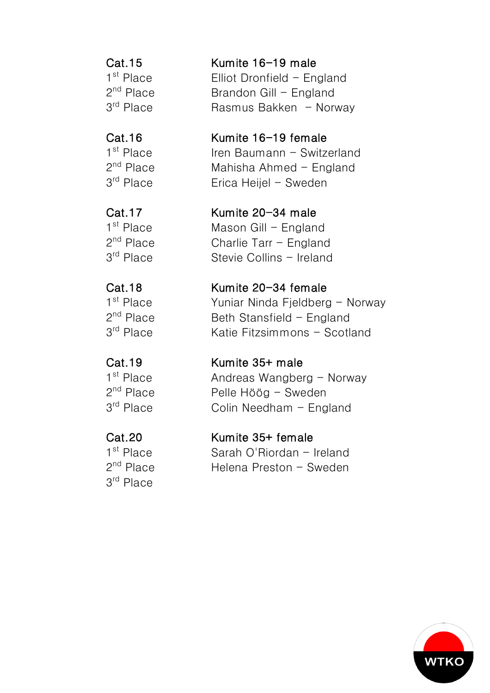3rd Place

Cat.15 Kumite 16-19 male  $1<sup>st</sup>$  Place Elliot Dronfield - England  $2<sup>nd</sup>$  Place Brandon Gill - England  $3<sup>rd</sup>$  Place Rasmus Bakken - Norway

Cat.16 Kumite 16-19 female  $1<sup>st</sup>$  Place Iren Baumann - Switzerland 2nd Place Mahisha Ahmed - England  $3<sup>rd</sup>$  Place Erica Heijel - Sweden

Cat.17 Kumite 20-34 male  $1^{\text{st}}$  Place Mason Gill - England<br> $2^{\text{nd}}$  Place Charlie Tarr - England Charlie Tarr  $-$  England 3<sup>rd</sup> Place Stevie Collins - Ireland

Cat.18 Kumite 20-34 female  $1<sup>st</sup>$  Place Yuniar Ninda Fieldberg - Norway  $2<sup>nd</sup>$  Place Beth Stansfield - England 3<sup>rd</sup> Place Katie Fitzsimmons - Scotland

Cat.19 Kumite 35+ male 1<sup>st</sup> Place **Andreas Wangberg - Norway**  $2<sup>nd</sup>$  Place Pelle Höög - Sweden  $3<sup>rd</sup>$  Place Colin Needham - England

Cat.20 Kumite 35+ female 1<sup>st</sup> Place Sarah O'Riordan - Ireland 2<sup>nd</sup> Place Helena Preston - Sweden